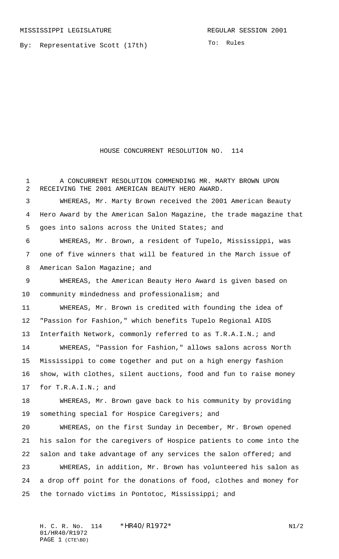By: Representative Scott (17th)

HOUSE CONCURRENT RESOLUTION NO. 114

1 A CONCURRENT RESOLUTION COMMENDING MR. MARTY BROWN UPON RECEIVING THE 2001 AMERICAN BEAUTY HERO AWARD. WHEREAS, Mr. Marty Brown received the 2001 American Beauty Hero Award by the American Salon Magazine, the trade magazine that goes into salons across the United States; and WHEREAS, Mr. Brown, a resident of Tupelo, Mississippi, was one of five winners that will be featured in the March issue of 8 American Salon Magazine; and WHEREAS, the American Beauty Hero Award is given based on community mindedness and professionalism; and WHEREAS, Mr. Brown is credited with founding the idea of "Passion for Fashion," which benefits Tupelo Regional AIDS Interfaith Network, commonly referred to as T.R.A.I.N.; and WHEREAS, "Passion for Fashion," allows salons across North Mississippi to come together and put on a high energy fashion show, with clothes, silent auctions, food and fun to raise money for T.R.A.I.N.; and WHEREAS, Mr. Brown gave back to his community by providing something special for Hospice Caregivers; and WHEREAS, on the first Sunday in December, Mr. Brown opened his salon for the caregivers of Hospice patients to come into the salon and take advantage of any services the salon offered; and WHEREAS, in addition, Mr. Brown has volunteered his salon as a drop off point for the donations of food, clothes and money for the tornado victims in Pontotoc, Mississippi; and

H. C. R. No. \*HR40/R1972\* N1/2 01/HR40/R1972 PAGE 1 (CTE\BD)